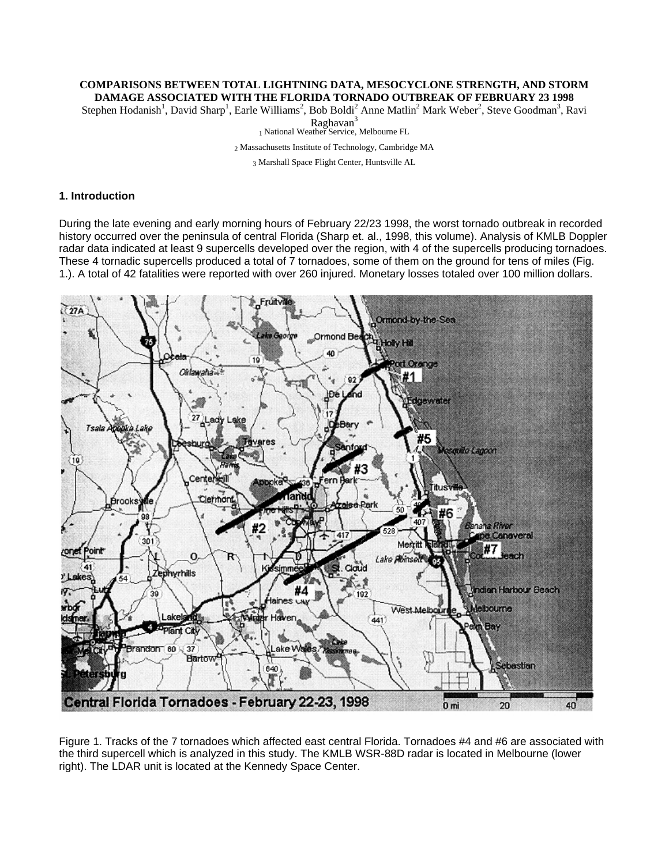# **COMPARISONS BETWEEN TOTAL LIGHTNING DATA, MESOCYCLONE STRENGTH, AND STORM**

**DAMAGE ASSOCIATED WITH THE FLORIDA TORNADO OUTBREAK OF FEBRUARY 23 1998**<br>Stephen Hodanish<sup>1</sup>, David Sharp<sup>1</sup>, Earle Williams<sup>2</sup>, Bob Boldi<sup>2</sup> Anne Matlin<sup>2</sup> Mark Weber<sup>2</sup>, Steve Goodman<sup>3</sup>, Ravi

Raghavan<sup>3</sup><br>1 National Weather Service, Melbourne FL

2 Massachusetts Institute of Technology, Cambridge MA 3 Marshall Space Flight Center, Huntsville AL

## **1. Introduction**

During the late evening and early morning hours of February 22/23 1998, the worst tornado outbreak in recorded history occurred over the peninsula of central Florida (Sharp et. al., 1998, this volume). Analysis of KMLB Doppler radar data indicated at least 9 supercells developed over the region, with 4 of the supercells producing tornadoes. These 4 tornadic supercells produced a total of 7 tornadoes, some of them on the ground for tens of miles (Fig. 1.). A total of 42 fatalities were reported with over 260 injured. Monetary losses totaled over 100 million dollars.



Figure 1. Tracks of the 7 tornadoes which affected east central Florida. Tornadoes #4 and #6 are associated with the third supercell which is analyzed in this study. The KMLB WSR-88D radar is located in Melbourne (lower right). The LDAR unit is located at the Kennedy Space Center.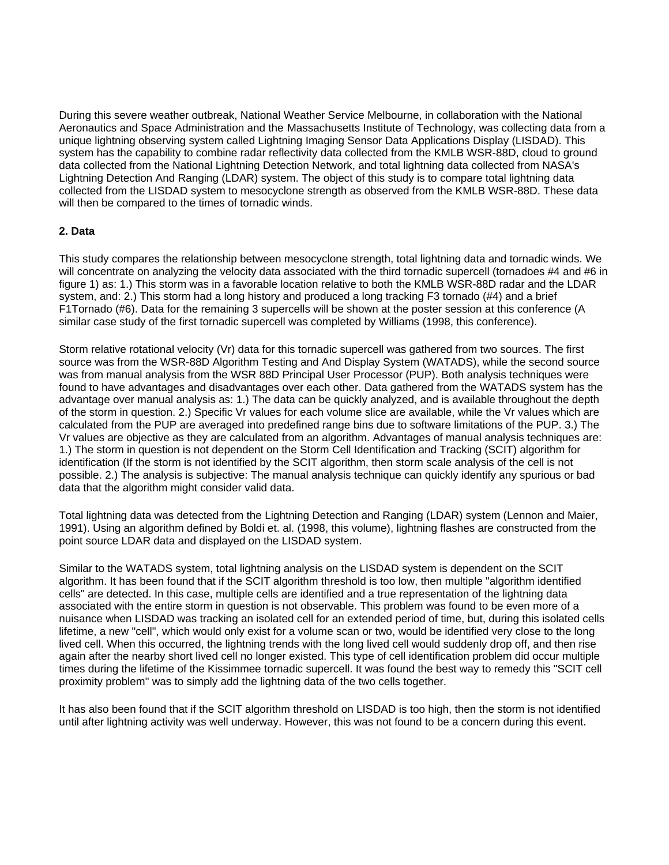During this severe weather outbreak, National Weather Service Melbourne, in collaboration with the National Aeronautics and Space Administration and the Massachusetts Institute of Technology, was collecting data from a unique lightning observing system called Lightning Imaging Sensor Data Applications Display (LISDAD). This system has the capability to combine radar reflectivity data collected from the KMLB WSR-88D, cloud to ground data collected from the National Lightning Detection Network, and total lightning data collected from NASA's Lightning Detection And Ranging (LDAR) system. The object of this study is to compare total lightning data collected from the LISDAD system to mesocyclone strength as observed from the KMLB WSR-88D. These data will then be compared to the times of tornadic winds.

## **2. Data**

This study compares the relationship between mesocyclone strength, total lightning data and tornadic winds. We will concentrate on analyzing the velocity data associated with the third tornadic supercell (tornadoes #4 and #6 in figure 1) as: 1.) This storm was in a favorable location relative to both the KMLB WSR-88D radar and the LDAR system, and: 2.) This storm had a long history and produced a long tracking F3 tornado (#4) and a brief F1Tornado (#6). Data for the remaining 3 supercells will be shown at the poster session at this conference (A similar case study of the first tornadic supercell was completed by Williams (1998, this conference).

Storm relative rotational velocity (Vr) data for this tornadic supercell was gathered from two sources. The first source was from the WSR-88D Algorithm Testing and And Display System (WATADS), while the second source was from manual analysis from the WSR 88D Principal User Processor (PUP). Both analysis techniques were found to have advantages and disadvantages over each other. Data gathered from the WATADS system has the advantage over manual analysis as: 1.) The data can be quickly analyzed, and is available throughout the depth of the storm in question. 2.) Specific Vr values for each volume slice are available, while the Vr values which are calculated from the PUP are averaged into predefined range bins due to software limitations of the PUP. 3.) The Vr values are objective as they are calculated from an algorithm. Advantages of manual analysis techniques are: 1.) The storm in question is not dependent on the Storm Cell Identification and Tracking (SCIT) algorithm for identification (If the storm is not identified by the SCIT algorithm, then storm scale analysis of the cell is not possible. 2.) The analysis is subjective: The manual analysis technique can quickly identify any spurious or bad data that the algorithm might consider valid data.

Total lightning data was detected from the Lightning Detection and Ranging (LDAR) system (Lennon and Maier, 1991). Using an algorithm defined by Boldi et. al. (1998, this volume), lightning flashes are constructed from the point source LDAR data and displayed on the LISDAD system.

Similar to the WATADS system, total lightning analysis on the LISDAD system is dependent on the SCIT algorithm. It has been found that if the SCIT algorithm threshold is too low, then multiple "algorithm identified cells" are detected. In this case, multiple cells are identified and a true representation of the lightning data associated with the entire storm in question is not observable. This problem was found to be even more of a nuisance when LISDAD was tracking an isolated cell for an extended period of time, but, during this isolated cells lifetime, a new "cell", which would only exist for a volume scan or two, would be identified very close to the long lived cell. When this occurred, the lightning trends with the long lived cell would suddenly drop off, and then rise again after the nearby short lived cell no longer existed. This type of cell identification problem did occur multiple times during the lifetime of the Kissimmee tornadic supercell. It was found the best way to remedy this "SCIT cell proximity problem" was to simply add the lightning data of the two cells together.

It has also been found that if the SCIT algorithm threshold on LISDAD is too high, then the storm is not identified until after lightning activity was well underway. However, this was not found to be a concern during this event.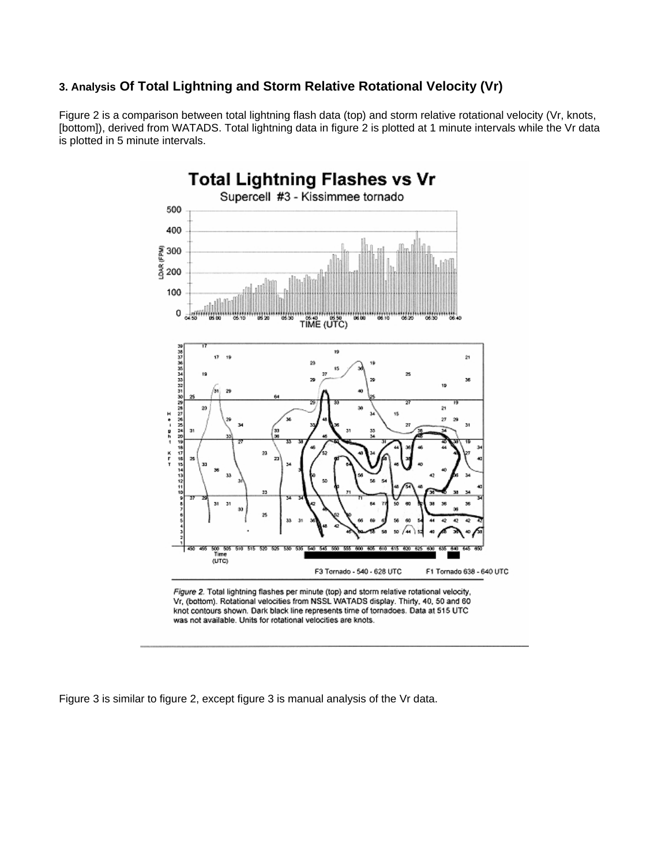# **3. Analysis Of Total Lightning and Storm Relative Rotational Velocity (Vr)**

Figure 2 is a comparison between total lightning flash data (top) and storm relative rotational velocity (Vr, knots, [bottom]), derived from WATADS. Total lightning data in figure 2 is plotted at 1 minute intervals while the Vr data is plotted in 5 minute intervals.



Figure 2. Total lightning flashes per minute (top) and storm relative rotational velocity, Vr, (bottom). Rotational velocities from NSSL WATADS display. Thirty, 40, 50 and 60 knot contours shown. Dark black line represents time of tornadoes. Data at 515 UTC was not available. Units for rotational velocities are knots.

Figure 3 is similar to figure 2, except figure 3 is manual analysis of the Vr data.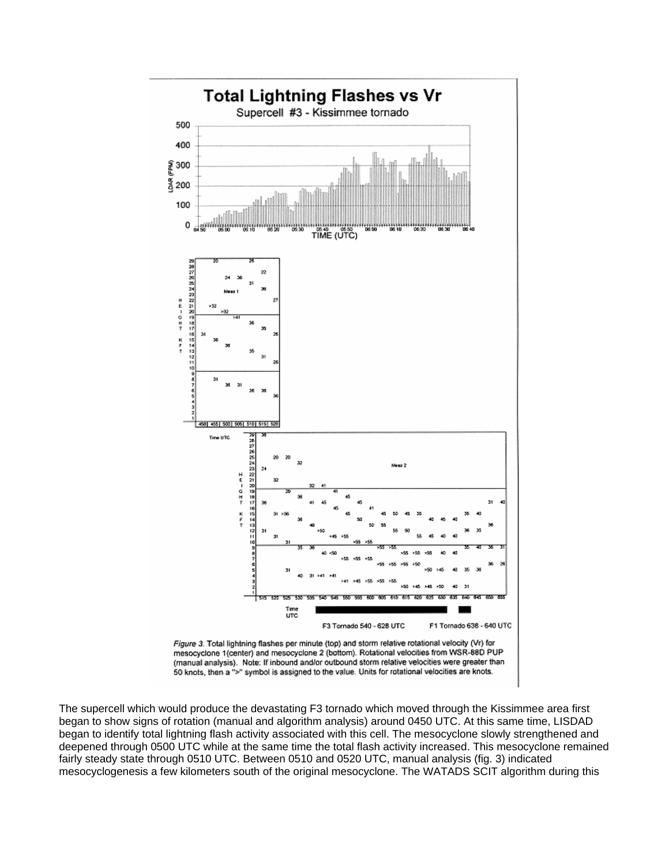

50 knots, then a ">" symbol is assigned to the value. Units for rotational velocities are knots.

The supercell which would produce the devastating F3 tornado which moved through the Kissimmee area first began to show signs of rotation (manual and algorithm analysis) around 0450 UTC. At this same time, LISDAD began to identify total lightning flash activity associated with this cell. The mesocyclone slowly strengthened and deepened through 0500 UTC while at the same time the total flash activity increased. This mesocyclone remained fairly steady state through 0510 UTC. Between 0510 and 0520 UTC, manual analysis (fig. 3) indicated mesocyclogenesis a few kilometers south of the original mesocyclone. The WATADS SCIT algorithm during this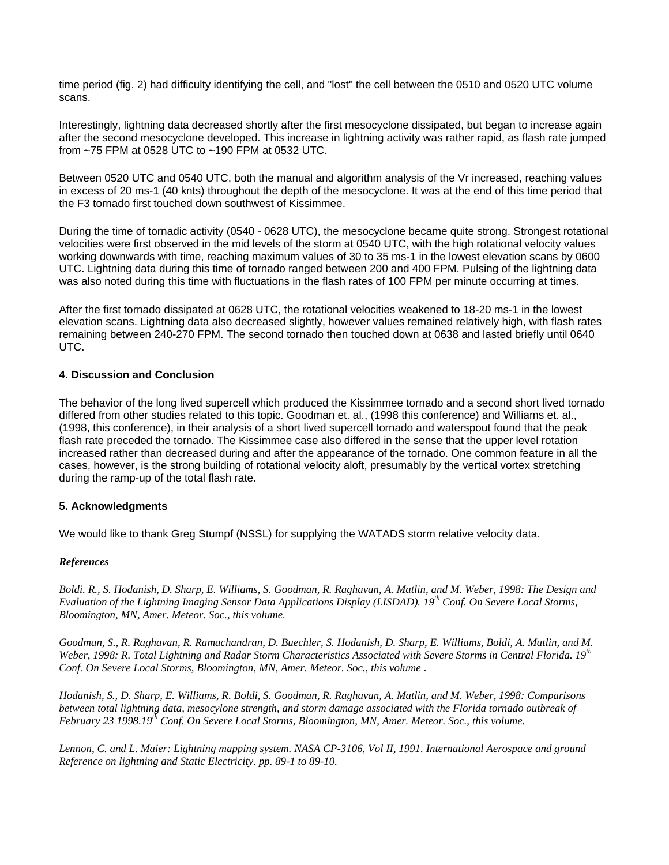time period (fig. 2) had difficulty identifying the cell, and "lost" the cell between the 0510 and 0520 UTC volume scans.

Interestingly, lightning data decreased shortly after the first mesocyclone dissipated, but began to increase again after the second mesocyclone developed. This increase in lightning activity was rather rapid, as flash rate jumped from ~75 FPM at 0528 UTC to ~190 FPM at 0532 UTC.

Between 0520 UTC and 0540 UTC, both the manual and algorithm analysis of the Vr increased, reaching values in excess of 20 ms-1 (40 knts) throughout the depth of the mesocyclone. It was at the end of this time period that the F3 tornado first touched down southwest of Kissimmee.

During the time of tornadic activity (0540 - 0628 UTC), the mesocyclone became quite strong. Strongest rotational velocities were first observed in the mid levels of the storm at 0540 UTC, with the high rotational velocity values working downwards with time, reaching maximum values of 30 to 35 ms-1 in the lowest elevation scans by 0600 UTC. Lightning data during this time of tornado ranged between 200 and 400 FPM. Pulsing of the lightning data was also noted during this time with fluctuations in the flash rates of 100 FPM per minute occurring at times.

After the first tornado dissipated at 0628 UTC, the rotational velocities weakened to 18-20 ms-1 in the lowest elevation scans. Lightning data also decreased slightly, however values remained relatively high, with flash rates remaining between 240-270 FPM. The second tornado then touched down at 0638 and lasted briefly until 0640 UTC.

## **4. Discussion and Conclusion**

The behavior of the long lived supercell which produced the Kissimmee tornado and a second short lived tornado differed from other studies related to this topic. Goodman et. al., (1998 this conference) and Williams et. al., (1998, this conference), in their analysis of a short lived supercell tornado and waterspout found that the peak flash rate preceded the tornado. The Kissimmee case also differed in the sense that the upper level rotation increased rather than decreased during and after the appearance of the tornado. One common feature in all the cases, however, is the strong building of rotational velocity aloft, presumably by the vertical vortex stretching during the ramp-up of the total flash rate.

## **5. Acknowledgments**

We would like to thank Greg Stumpf (NSSL) for supplying the WATADS storm relative velocity data.

## *References*

*Boldi. R., S. Hodanish, D. Sharp, E. Williams, S. Goodman, R. Raghavan, A. Matlin, and M. Weber, 1998: The Design and Evaluation of the Lightning Imaging Sensor Data Applications Display (LISDAD). 19th Conf. On Severe Local Storms, Bloomington, MN, Amer. Meteor. Soc., this volume.*

*Goodman, S., R. Raghavan, R. Ramachandran, D. Buechler, S. Hodanish, D. Sharp, E. Williams, Boldi, A. Matlin, and M. Weber, 1998: R. Total Lightning and Radar Storm Characteristics Associated with Severe Storms in Central Florida. 19th Conf. On Severe Local Storms, Bloomington, MN, Amer. Meteor. Soc., this volume .*

*Hodanish, S., D. Sharp, E. Williams, R. Boldi, S. Goodman, R. Raghavan, A. Matlin, and M. Weber, 1998: Comparisons*  between total lightning data, mesocylone strength, and storm damage associated with the Florida tornado outbreak of *February 23 1998.19th Conf. On Severe Local Storms, Bloomington, MN, Amer. Meteor. Soc., this volume.*

*Lennon, C. and L. Maier: Lightning mapping system. NASA CP-3106, Vol II, 1991. International Aerospace and ground Reference on lightning and Static Electricity. pp. 89-1 to 89-10.*